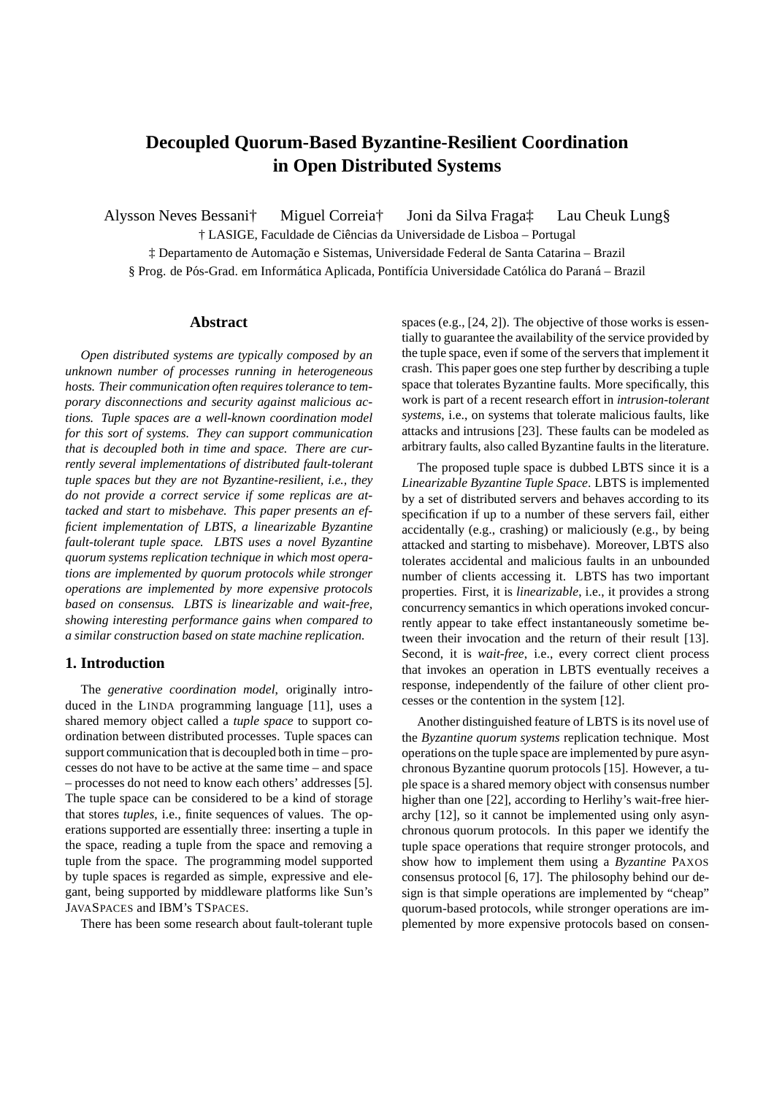# **Decoupled Quorum-Based Byzantine-Resilient Coordination in Open Distributed Systems**

Alysson Neves Bessani† Miguel Correia† Joni da Silva Fraga‡ Lau Cheuk Lung§ † LASIGE, Faculdade de Ciˆencias da Universidade de Lisboa – Portugal  $\ddagger$  Departamento de Automação e Sistemas, Universidade Federal de Santa Catarina – Brazil § Prog. de Pós-Grad. em Informática Aplicada, Pontifícia Universidade Católica do Paraná – Brazil

## **Abstract**

*Open distributed systems are typically composed by an unknown number of processes running in heterogeneous hosts. Their communication often requires tolerance to temporary disconnections and security against malicious actions. Tuple spaces are a well-known coordination model for this sort of systems. They can support communication that is decoupled both in time and space. There are currently several implementations of distributed fault-tolerant tuple spaces but they are not Byzantine-resilient, i.e., they do not provide a correct service if some replicas are attacked and start to misbehave. This paper presents an efficient implementation of LBTS, a linearizable Byzantine fault-tolerant tuple space. LBTS uses a novel Byzantine quorum systems replication technique in which most operations are implemented by quorum protocols while stronger operations are implemented by more expensive protocols based on consensus. LBTS is linearizable and wait-free, showing interesting performance gains when compared to a similar construction based on state machine replication.*

## **1. Introduction**

The *generative coordination model*, originally introduced in the LINDA programming language [11], uses a shared memory object called a *tuple space* to support coordination between distributed processes. Tuple spaces can support communication that is decoupled both in time – processes do not have to be active at the same time – and space – processes do not need to know each others' addresses [5]. The tuple space can be considered to be a kind of storage that stores *tuples*, i.e., finite sequences of values. The operations supported are essentially three: inserting a tuple in the space, reading a tuple from the space and removing a tuple from the space. The programming model supported by tuple spaces is regarded as simple, expressive and elegant, being supported by middleware platforms like Sun's JAVASPACES and IBM's TSPACES.

There has been some research about fault-tolerant tuple

spaces (e.g., [24, 2]). The objective of those works is essentially to guarantee the availability of the service provided by the tuple space, even if some of the servers that implement it crash. This paper goes one step further by describing a tuple space that tolerates Byzantine faults. More specifically, this work is part of a recent research effort in *intrusion-tolerant systems*, i.e., on systems that tolerate malicious faults, like attacks and intrusions [23]. These faults can be modeled as arbitrary faults, also called Byzantine faults in the literature.

The proposed tuple space is dubbed LBTS since it is a *Linearizable Byzantine Tuple Space*. LBTS is implemented by a set of distributed servers and behaves according to its specification if up to a number of these servers fail, either accidentally (e.g., crashing) or maliciously (e.g., by being attacked and starting to misbehave). Moreover, LBTS also tolerates accidental and malicious faults in an unbounded number of clients accessing it. LBTS has two important properties. First, it is *linearizable*, i.e., it provides a strong concurrency semantics in which operations invoked concurrently appear to take effect instantaneously sometime between their invocation and the return of their result [13]. Second, it is *wait-free*, i.e., every correct client process that invokes an operation in LBTS eventually receives a response, independently of the failure of other client processes or the contention in the system [12].

Another distinguished feature of LBTS is its novel use of the *Byzantine quorum systems* replication technique. Most operations on the tuple space are implemented by pure asynchronous Byzantine quorum protocols [15]. However, a tuple space is a shared memory object with consensus number higher than one [22], according to Herlihy's wait-free hierarchy [12], so it cannot be implemented using only asynchronous quorum protocols. In this paper we identify the tuple space operations that require stronger protocols, and show how to implement them using a *Byzantine* PAXOS consensus protocol [6, 17]. The philosophy behind our design is that simple operations are implemented by "cheap" quorum-based protocols, while stronger operations are implemented by more expensive protocols based on consen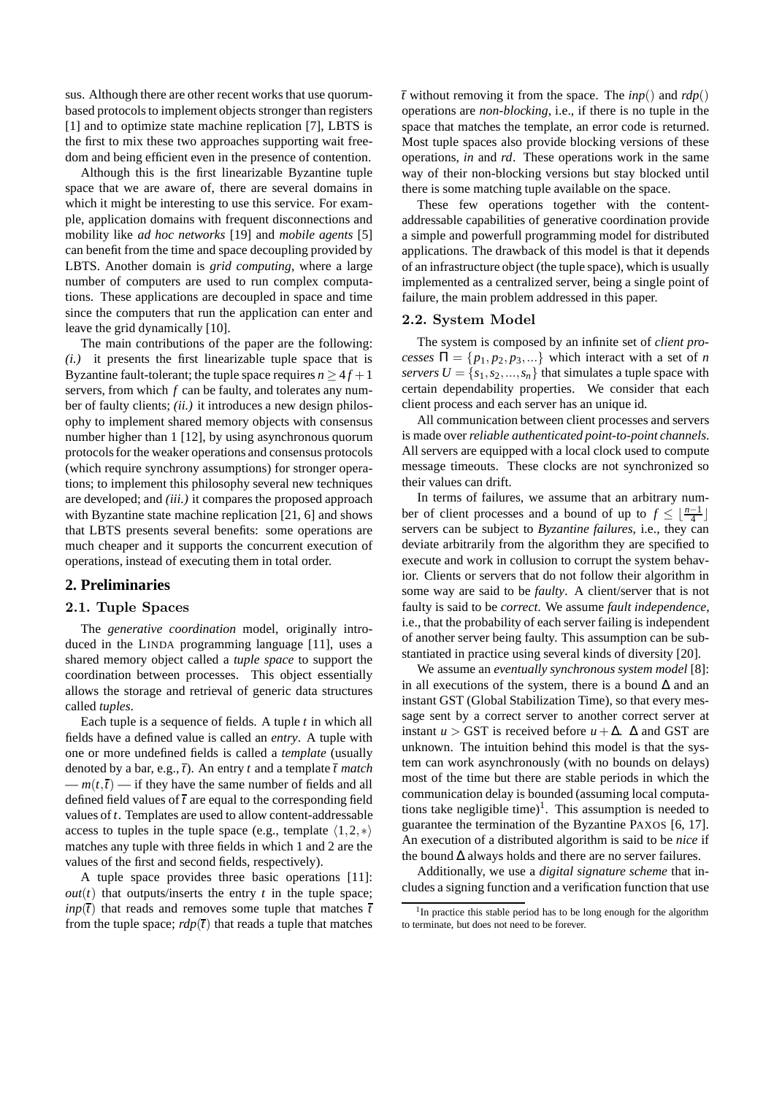sus. Although there are other recent works that use quorumbased protocols to implement objects stronger than registers [1] and to optimize state machine replication [7], LBTS is the first to mix these two approaches supporting wait freedom and being efficient even in the presence of contention.

Although this is the first linearizable Byzantine tuple space that we are aware of, there are several domains in which it might be interesting to use this service. For example, application domains with frequent disconnections and mobility like *ad hoc networks* [19] and *mobile agents* [5] can benefit from the time and space decoupling provided by LBTS. Another domain is *grid computing*, where a large number of computers are used to run complex computations. These applications are decoupled in space and time since the computers that run the application can enter and leave the grid dynamically [10].

The main contributions of the paper are the following: *(i.)* it presents the first linearizable tuple space that is Byzantine fault-tolerant; the tuple space requires  $n \geq 4f + 1$ servers, from which *f* can be faulty, and tolerates any number of faulty clients; *(ii.)* it introduces a new design philosophy to implement shared memory objects with consensus number higher than 1 [12], by using asynchronous quorum protocols for the weaker operations and consensus protocols (which require synchrony assumptions) for stronger operations; to implement this philosophy several new techniques are developed; and *(iii.)* it compares the proposed approach with Byzantine state machine replication [21, 6] and shows that LBTS presents several benefits: some operations are much cheaper and it supports the concurrent execution of operations, instead of executing them in total order.

# **2. Preliminaries**

## 2.1. Tuple Spaces

The *generative coordination* model, originally introduced in the LINDA programming language [11], uses a shared memory object called a *tuple space* to support the coordination between processes. This object essentially allows the storage and retrieval of generic data structures called *tuples*.

Each tuple is a sequence of fields. A tuple *t* in which all fields have a defined value is called an *entry*. A tuple with one or more undefined fields is called a *template* (usually denoted by a bar, e.g.,  $\bar{t}$ ). An entry  $t$  and a template  $\bar{t}$  match  $-m(t,\bar{t})$  — if they have the same number of fields and all defined field values of  $\bar{t}$  are equal to the corresponding field values of *t*. Templates are used to allow content-addressable access to tuples in the tuple space (e.g., template  $\langle 1,2,* \rangle$ matches any tuple with three fields in which 1 and 2 are the values of the first and second fields, respectively).

A tuple space provides three basic operations [11]:  $out(t)$  that outputs/inserts the entry  $t$  in the tuple space; *inp*( $\bar{t}$ ) that reads and removes some tuple that matches  $\bar{t}$ from the tuple space;  $rdp(\bar{t})$  that reads a tuple that matches  $\overline{t}$  without removing it from the space. The *inp*() and *rdp*() operations are *non-blocking*, i.e., if there is no tuple in the space that matches the template, an error code is returned. Most tuple spaces also provide blocking versions of these operations, *in* and *rd*. These operations work in the same way of their non-blocking versions but stay blocked until there is some matching tuple available on the space.

These few operations together with the contentaddressable capabilities of generative coordination provide a simple and powerfull programming model for distributed applications. The drawback of this model is that it depends of an infrastructure object (the tuple space), which is usually implemented as a centralized server, being a single point of failure, the main problem addressed in this paper.

#### 2.2. System Model

The system is composed by an infinite set of *client processes*  $\Pi = \{p_1, p_2, p_3, ...\}$  which interact with a set of *n servers*  $U = \{s_1, s_2, ..., s_n\}$  that simulates a tuple space with certain dependability properties. We consider that each client process and each server has an unique id.

All communication between client processes and servers is made over *reliable authenticated point-to-point channels*. All servers are equipped with a local clock used to compute message timeouts. These clocks are not synchronized so their values can drift.

In terms of failures, we assume that an arbitrary number of client processes and a bound of up to  $f \leq \lfloor \frac{n-1}{4} \rfloor$ servers can be subject to *Byzantine failures*, i.e., they can deviate arbitrarily from the algorithm they are specified to execute and work in collusion to corrupt the system behavior. Clients or servers that do not follow their algorithm in some way are said to be *faulty*. A client/server that is not faulty is said to be *correct*. We assume *fault independence*, i.e., that the probability of each server failing is independent of another server being faulty. This assumption can be substantiated in practice using several kinds of diversity [20].

We assume an *eventually synchronous system model* [8]: in all executions of the system, there is a bound  $\Delta$  and an instant GST (Global Stabilization Time), so that every message sent by a correct server to another correct server at instant *u* > GST is received before *u* +  $\Delta$ .  $\Delta$  and GST are unknown. The intuition behind this model is that the system can work asynchronously (with no bounds on delays) most of the time but there are stable periods in which the communication delay is bounded (assuming local computations take negligible time)<sup>1</sup>. This assumption is needed to guarantee the termination of the Byzantine PAXOS [6, 17]. An execution of a distributed algorithm is said to be *nice* if the bound ∆ always holds and there are no server failures.

Additionally, we use a *digital signature scheme* that includes a signing function and a verification function that use

<sup>&</sup>lt;sup>1</sup>In practice this stable period has to be long enough for the algorithm to terminate, but does not need to be forever.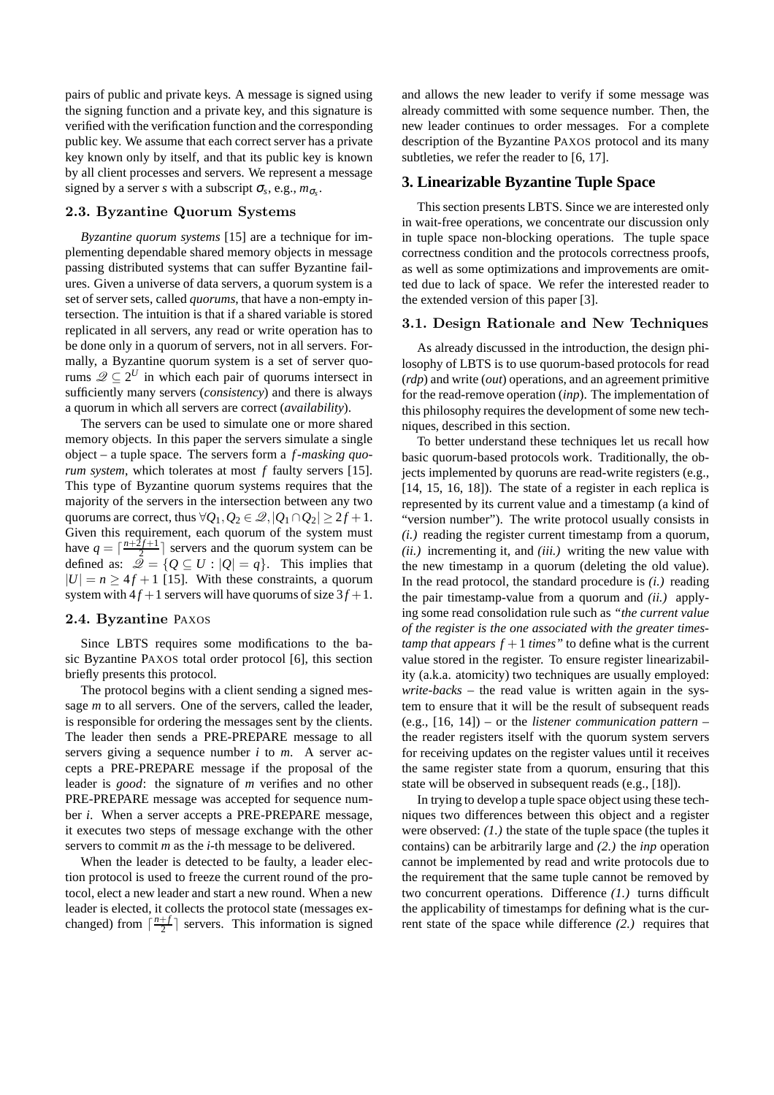pairs of public and private keys. A message is signed using the signing function and a private key, and this signature is verified with the verification function and the corresponding public key. We assume that each correct server has a private key known only by itself, and that its public key is known by all client processes and servers. We represent a message signed by a server *s* with a subscript  $\sigma_s$ , e.g.,  $m_{\sigma_s}$ .

# 2.3. Byzantine Quorum Systems

*Byzantine quorum systems* [15] are a technique for implementing dependable shared memory objects in message passing distributed systems that can suffer Byzantine failures. Given a universe of data servers, a quorum system is a set of server sets, called *quorums*, that have a non-empty intersection. The intuition is that if a shared variable is stored replicated in all servers, any read or write operation has to be done only in a quorum of servers, not in all servers. Formally, a Byzantine quorum system is a set of server quorums  $\mathscr{Q} \subseteq 2^U$  in which each pair of quorums intersect in sufficiently many servers (*consistency*) and there is always a quorum in which all servers are correct (*availability*).

The servers can be used to simulate one or more shared memory objects. In this paper the servers simulate a single object – a tuple space. The servers form a *f -masking quorum system*, which tolerates at most *f* faulty servers [15]. This type of Byzantine quorum systems requires that the majority of the servers in the intersection between any two quorums are correct, thus  $\forall Q_1, Q_2 \in \mathcal{Q}, |Q_1 \cap Q_2| \geq 2f + 1$ . Given this requirement, each quorum of the system must have  $q = \lceil \frac{n+2f+1}{2} \rceil$  servers and the quorum system can be defined as:  $\overline{Q} = \{Q \subseteq U : |Q| = q\}$ . This implies that  $|U| = n > 4f + 1$  [15]. With these constraints, a quorum system with  $4f + 1$  servers will have quorums of size  $3f + 1$ .

## 2.4. Byzantine PAXOS

Since LBTS requires some modifications to the basic Byzantine PAXOS total order protocol [6], this section briefly presents this protocol.

The protocol begins with a client sending a signed message *m* to all servers. One of the servers, called the leader, is responsible for ordering the messages sent by the clients. The leader then sends a PRE-PREPARE message to all servers giving a sequence number *i* to *m*. A server accepts a PRE-PREPARE message if the proposal of the leader is *good*: the signature of *m* verifies and no other PRE-PREPARE message was accepted for sequence number *i*. When a server accepts a PRE-PREPARE message, it executes two steps of message exchange with the other servers to commit *m* as the *i*-th message to be delivered.

When the leader is detected to be faulty, a leader election protocol is used to freeze the current round of the protocol, elect a new leader and start a new round. When a new leader is elected, it collects the protocol state (messages exchanged) from  $\lceil \frac{n+f}{2} \rceil$  servers. This information is signed

and allows the new leader to verify if some message was already committed with some sequence number. Then, the new leader continues to order messages. For a complete description of the Byzantine PAXOS protocol and its many subtleties, we refer the reader to [6, 17].

#### **3. Linearizable Byzantine Tuple Space**

This section presents LBTS. Since we are interested only in wait-free operations, we concentrate our discussion only in tuple space non-blocking operations. The tuple space correctness condition and the protocols correctness proofs, as well as some optimizations and improvements are omitted due to lack of space. We refer the interested reader to the extended version of this paper [3].

# 3.1. Design Rationale and New Techniques

As already discussed in the introduction, the design philosophy of LBTS is to use quorum-based protocols for read (*rdp*) and write (*out*) operations, and an agreement primitive for the read-remove operation (*inp*). The implementation of this philosophy requires the development of some new techniques, described in this section.

To better understand these techniques let us recall how basic quorum-based protocols work. Traditionally, the objects implemented by quoruns are read-write registers (e.g., [14, 15, 16, 18]). The state of a register in each replica is represented by its current value and a timestamp (a kind of "version number"). The write protocol usually consists in *(i.)* reading the register current timestamp from a quorum, *(ii.)* incrementing it, and *(iii.)* writing the new value with the new timestamp in a quorum (deleting the old value). In the read protocol, the standard procedure is *(i.)* reading the pair timestamp-value from a quorum and *(ii.)* applying some read consolidation rule such as *"the current value of the register is the one associated with the greater timestamp that appears*  $f + 1$  *<i>times*" to define what is the current value stored in the register. To ensure register linearizability (a.k.a. atomicity) two techniques are usually employed: *write-backs* – the read value is written again in the system to ensure that it will be the result of subsequent reads (e.g., [16, 14]) – or the *listener communication pattern* – the reader registers itself with the quorum system servers for receiving updates on the register values until it receives the same register state from a quorum, ensuring that this state will be observed in subsequent reads (e.g., [18]).

In trying to develop a tuple space object using these techniques two differences between this object and a register were observed: *(1.)* the state of the tuple space (the tuples it contains) can be arbitrarily large and *(2.)* the *inp* operation cannot be implemented by read and write protocols due to the requirement that the same tuple cannot be removed by two concurrent operations. Difference *(1.)* turns difficult the applicability of timestamps for defining what is the current state of the space while difference *(2.)* requires that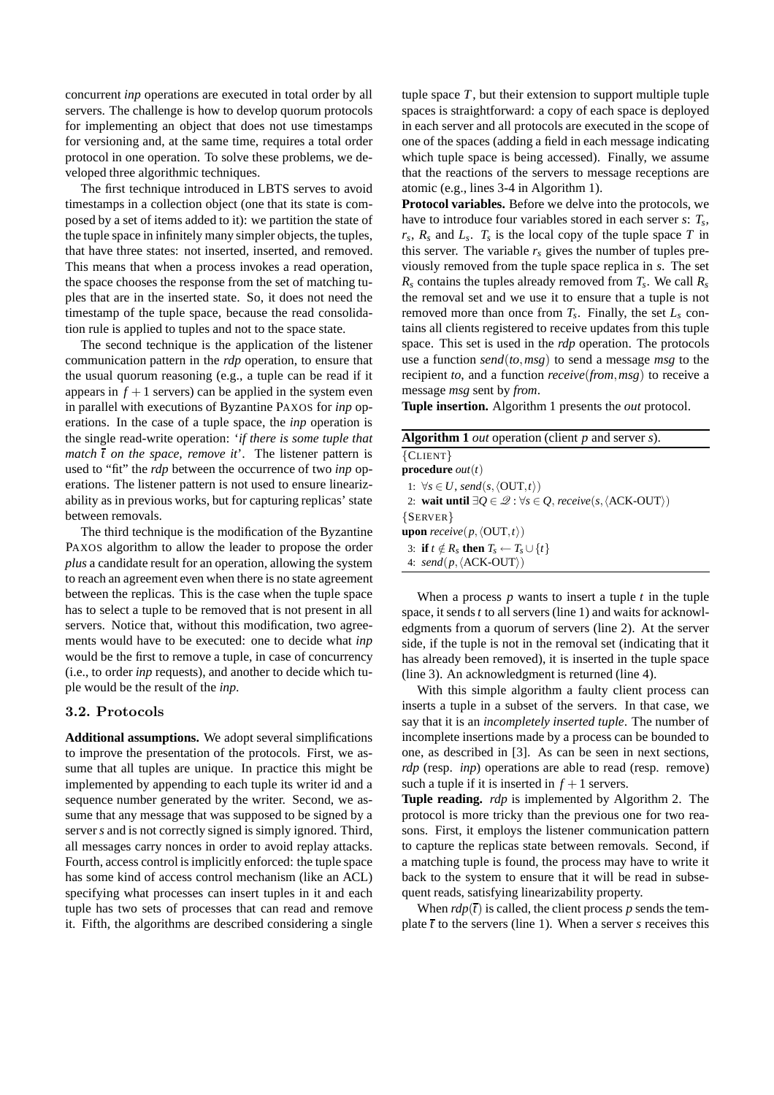concurrent *inp* operations are executed in total order by all servers. The challenge is how to develop quorum protocols for implementing an object that does not use timestamps for versioning and, at the same time, requires a total order protocol in one operation. To solve these problems, we developed three algorithmic techniques.

The first technique introduced in LBTS serves to avoid timestamps in a collection object (one that its state is composed by a set of items added to it): we partition the state of the tuple space in infinitely many simpler objects, the tuples, that have three states: not inserted, inserted, and removed. This means that when a process invokes a read operation, the space chooses the response from the set of matching tuples that are in the inserted state. So, it does not need the timestamp of the tuple space, because the read consolidation rule is applied to tuples and not to the space state.

The second technique is the application of the listener communication pattern in the *rdp* operation, to ensure that the usual quorum reasoning (e.g., a tuple can be read if it appears in  $f + 1$  servers) can be applied in the system even in parallel with executions of Byzantine PAXOS for *inp* operations. In the case of a tuple space, the *inp* operation is the single read-write operation: '*if there is some tuple that match*  $\bar{t}$  *on the space, remove it'.* The listener pattern is used to "fit" the *rdp* between the occurrence of two *inp* operations. The listener pattern is not used to ensure linearizability as in previous works, but for capturing replicas' state between removals.

The third technique is the modification of the Byzantine PAXOS algorithm to allow the leader to propose the order *plus* a candidate result for an operation, allowing the system to reach an agreement even when there is no state agreement between the replicas. This is the case when the tuple space has to select a tuple to be removed that is not present in all servers. Notice that, without this modification, two agreements would have to be executed: one to decide what *inp* would be the first to remove a tuple, in case of concurrency (i.e., to order *inp* requests), and another to decide which tuple would be the result of the *inp*.

#### 3.2. Protocols

**Additional assumptions.** We adopt several simplifications to improve the presentation of the protocols. First, we assume that all tuples are unique. In practice this might be implemented by appending to each tuple its writer id and a sequence number generated by the writer. Second, we assume that any message that was supposed to be signed by a server *s* and is not correctly signed is simply ignored. Third, all messages carry nonces in order to avoid replay attacks. Fourth, access control is implicitly enforced: the tuple space has some kind of access control mechanism (like an ACL) specifying what processes can insert tuples in it and each tuple has two sets of processes that can read and remove it. Fifth, the algorithms are described considering a single tuple space *T*, but their extension to support multiple tuple spaces is straightforward: a copy of each space is deployed in each server and all protocols are executed in the scope of one of the spaces (adding a field in each message indicating which tuple space is being accessed). Finally, we assume that the reactions of the servers to message receptions are atomic (e.g., lines 3-4 in Algorithm 1).

**Protocol variables.** Before we delve into the protocols, we have to introduce four variables stored in each server *s*: *T<sup>s</sup>* , *rs* , *R<sup>s</sup>* and *L<sup>s</sup>* . *T<sup>s</sup>* is the local copy of the tuple space *T* in this server. The variable  $r<sub>s</sub>$  gives the number of tuples previously removed from the tuple space replica in *s*. The set *R<sup>s</sup>* contains the tuples already removed from *T<sup>s</sup>* . We call *R<sup>s</sup>* the removal set and we use it to ensure that a tuple is not removed more than once from *T<sup>s</sup>* . Finally, the set *L<sup>s</sup>* contains all clients registered to receive updates from this tuple space. This set is used in the *rdp* operation. The protocols use a function *send*(*to*,*msg*) to send a message *msg* to the recipient *to*, and a function *receive*(*from*,*msg*) to receive a message *msg* sent by *from*.

**Tuple insertion.** Algorithm 1 presents the *out* protocol.

| <b>Algorithm 1</b> <i>out</i> operation (client $p$ and server $s$ ).                                  |
|--------------------------------------------------------------------------------------------------------|
| ${CLIENT}$                                                                                             |
| <b>procedure</b> <i>out</i> ( <i>t</i> )                                                               |
| 1: $\forall s \in U$ , send(s, $\langle$ OUT,t $\rangle$ )                                             |
| 2: wait until $\exists Q \in \mathcal{Q} : \forall s \in Q$ , receive(s, $\langle$ ACK-OUT $\rangle$ ) |
| ${S$ ERVER $}$                                                                                         |
| <b>upon</b> receive(p, $\langle$ OUT, t $\rangle$ )                                                    |
| 3: if $t \notin R_s$ then $T_s \leftarrow T_s \cup \{t\}$                                              |
| 4: $send(p, \langle ACK-OUT \rangle)$                                                                  |

When a process *p* wants to insert a tuple *t* in the tuple space, it sends *t* to all servers (line 1) and waits for acknowledgments from a quorum of servers (line 2). At the server side, if the tuple is not in the removal set (indicating that it has already been removed), it is inserted in the tuple space (line 3). An acknowledgment is returned (line 4).

With this simple algorithm a faulty client process can inserts a tuple in a subset of the servers. In that case, we say that it is an *incompletely inserted tuple*. The number of incomplete insertions made by a process can be bounded to one, as described in [3]. As can be seen in next sections, *rdp* (resp. *inp*) operations are able to read (resp. remove) such a tuple if it is inserted in  $f + 1$  servers.

**Tuple reading.** *rdp* is implemented by Algorithm 2. The protocol is more tricky than the previous one for two reasons. First, it employs the listener communication pattern to capture the replicas state between removals. Second, if a matching tuple is found, the process may have to write it back to the system to ensure that it will be read in subsequent reads, satisfying linearizability property.

When  $rdp(\bar{t})$  is called, the client process p sends the template  $\bar{t}$  to the servers (line 1). When a server *s* receives this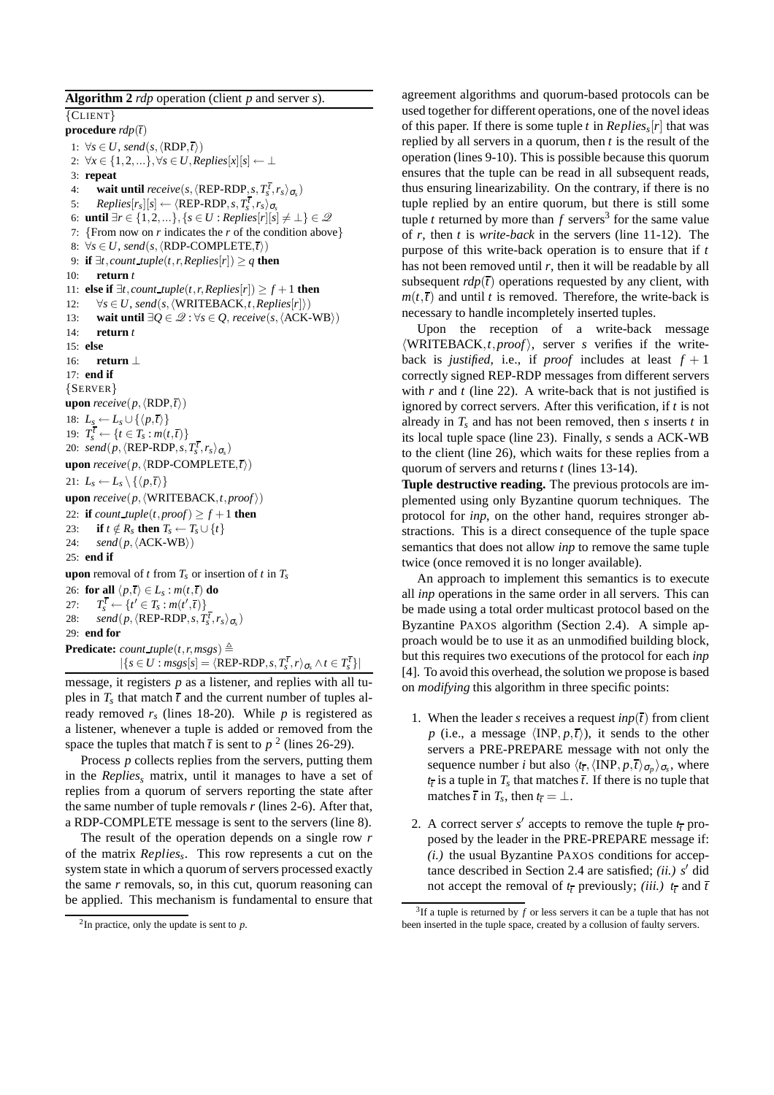**Algorithm 2** *rdp* operation (client *p* and server *s*). {CLIENT} **procedure** *rdp*(*t*) 1:  $\forall s \in U$ , *send*(*s*,  $\langle RDP, \overline{t} \rangle$ ) 2:  $\forall x \in \{1, 2, ...\}, \forall s \in U, Replies[x][s] \leftarrow \bot$ 3: **repeat** 4: **wait until**  $receive(s, \langle \text{REP-RDP}_1, s, T_s^{\overline{t}}, r_s \rangle_{\sigma_s})$ 5:  $Replies[r_s][s] \leftarrow \langle \text{REP-RDP}, s, T_s^{\overline{t}}, r_s \rangle_{\sigma_s}$ 6: **until**  $\exists r \in \{1, 2, ...\}, \{s \in U : Replies[r][s] \neq \bot\} \in \mathcal{Q}$ 7: {From now on *r* indicates the *r* of the condition above} 8:  $\forall s \in U$ , *send*(*s*,  $\langle RDP-COMPLETE, \overline{t} \rangle$ ) 9: **if**  $\exists t$ *, count\_tuple* $(t, r, Replies[r]) \geq q$  **then** 10: **return** *t* 11: **else if** ∃*t*,*count tuple*(*t*,*r*,*Replies*[*r*]) ≥ *f* +1 **then** 12:  $\forall s \in U$ , *send*(*s*,  $\langle WRITEBACK, t, Replies[r] \rangle$ ) 13: **wait until** ∃ $Q \in \mathcal{Q}$  :  $\forall s \in Q$ , *receive*(*s*,  $\langle$ ACK-WB $\rangle$ ) 14: **return** *t* 15: **else** 16: **return** ⊥ 17: **end if** {SERVER} **upon**  $\text{receive}(p, \langle \text{RDP}, \overline{t} \rangle)$ 18:  $L_s \leftarrow L_s \cup \{\langle p, \overline{t} \rangle\}$ 19:  $T_s^{\bar{t}} \leftarrow \{t \in T_s : m(t, \bar{t})\}$ 20: *send*( $p$ ,  $\langle$ **REP-RDP**,  $s$ ,  $T_s^t$ ,  $r_s$ ) $\sigma_s$ ) **upon** *receive*( $p$ ,  $\langle RDP-COMPLETE, t \rangle$ ) 21:  $L_s \leftarrow L_s \setminus \{ \langle p, \overline{t} \rangle \}$ **upon**  $\text{receive}(p, \langle \text{WRITEBACK}, t, \text{proof} \rangle)$ 22: **if**  $count\_tuple(t, proof) > f + 1$  **then** 23: **if**  $t \notin R_s$  **then**  $T_s \leftarrow T_s \cup \{t\}$ 24: *send*( $p, \langle$ ACK-WB $\rangle$ ) 25: **end if upon** removal of *t* from  $T_s$  or insertion of *t* in  $T_s$ 26: **for all**  $\langle p,\overline{t}\rangle \in L_s : m(t,\overline{t})$  **do**  $27:$  $\frac{t}{s} \leftarrow \{ t' \in T_s : m(t',\overline{t}) \}$ 28: *send*( $p, \langle \text{REP-RDP}, s, T_s^T, r_s \rangle_{\sigma_s}$ ) 29: **end for Predicate:** *count\_tuple*(*t*,*r*,*msgs*)  $\triangleq$  $|\{s \in U : msgs[s] = \langle \text{REP-RDP}, s, T_s^{\overline{t}}, r \rangle_{\sigma_s} \wedge t \in T_s^{\overline{t}}\}|$ 

message, it registers *p* as a listener, and replies with all tuples in  $T_s$  that match  $\bar{t}$  and the current number of tuples already removed  $r<sub>s</sub>$  (lines 18-20). While  $p$  is registered as a listener, whenever a tuple is added or removed from the space the tuples that match  $\bar{t}$  is sent to  $p^2$  (lines 26-29).

Process *p* collects replies from the servers, putting them in the *Replies<sup>s</sup>* matrix, until it manages to have a set of replies from a quorum of servers reporting the state after the same number of tuple removals *r* (lines 2-6). After that, a RDP-COMPLETE message is sent to the servers (line 8).

The result of the operation depends on a single row *r* of the matrix *Replies<sup>s</sup>* . This row represents a cut on the system state in which a quorum of servers processed exactly the same *r* removals, so, in this cut, quorum reasoning can be applied. This mechanism is fundamental to ensure that agreement algorithms and quorum-based protocols can be used together for different operations, one of the novel ideas of this paper. If there is some tuple *t* in *Replies<sup>s</sup>* [*r*] that was replied by all servers in a quorum, then *t* is the result of the operation (lines 9-10). This is possible because this quorum ensures that the tuple can be read in all subsequent reads, thus ensuring linearizability. On the contrary, if there is no tuple replied by an entire quorum, but there is still some tuple *t* returned by more than  $f$  servers<sup>3</sup> for the same value of *r*, then *t* is *write-back* in the servers (line 11-12). The purpose of this write-back operation is to ensure that if *t* has not been removed until *r*, then it will be readable by all subsequent  $rdp(\bar{t})$  operations requested by any client, with  $m(t, \bar{t})$  and until *t* is removed. Therefore, the write-back is necessary to handle incompletely inserted tuples.

Upon the reception of a write-back message  $\langle WRITEBACK, t, proof \rangle$ , server *s* verifies if the writeback is *justified*, i.e., if *proof* includes at least  $f + 1$ correctly signed REP-RDP messages from different servers with *r* and *t* (line 22). A write-back that is not justified is ignored by correct servers. After this verification, if *t* is not already in *T<sup>s</sup>* and has not been removed, then *s* inserts *t* in its local tuple space (line 23). Finally, *s* sends a ACK-WB to the client (line 26), which waits for these replies from a quorum of servers and returns *t* (lines 13-14).

**Tuple destructive reading.** The previous protocols are implemented using only Byzantine quorum techniques. The protocol for *inp*, on the other hand, requires stronger abstractions. This is a direct consequence of the tuple space semantics that does not allow *inp* to remove the same tuple twice (once removed it is no longer available).

An approach to implement this semantics is to execute all *inp* operations in the same order in all servers. This can be made using a total order multicast protocol based on the Byzantine PAXOS algorithm (Section 2.4). A simple approach would be to use it as an unmodified building block, but this requires two executions of the protocol for each *inp* [4]. To avoid this overhead, the solution we propose is based on *modifying* this algorithm in three specific points:

- 1. When the leader *s* receives a request  $inp(\overline{t})$  from client *p* (i.e., a message  $\langle \text{INP}, p, \overline{t} \rangle$ ), it sends to the other servers a PRE-PREPARE message with not only the sequence number *i* but also  $\langle t_{\bar{t}}, \langle \text{INP}, p, \bar{t} \rangle_{\sigma_p} \rangle_{\sigma_s}$ , where  $t_{\bar{t}}$  is a tuple in  $T_s$  that matches  $\bar{t}$ . If there is no tuple that matches  $\bar{t}$  in  $T_s$ , then  $t_{\bar{t}} = \bot$ .
- 2. A correct server  $s'$  accepts to remove the tuple  $t_{\bar{t}}$  proposed by the leader in the PRE-PREPARE message if: *(i.)* the usual Byzantine PAXOS conditions for acceptance described in Section 2.4 are satisfied; *(ii.) s*′ did not accept the removal of  $t_t$  previously; *(iii.)*  $t_t$  and  $\overline{t}$

 $2$ In practice, only the update is sent to  $p$ .

 $3$ If a tuple is returned by  $f$  or less servers it can be a tuple that has not been inserted in the tuple space, created by a collusion of faulty servers.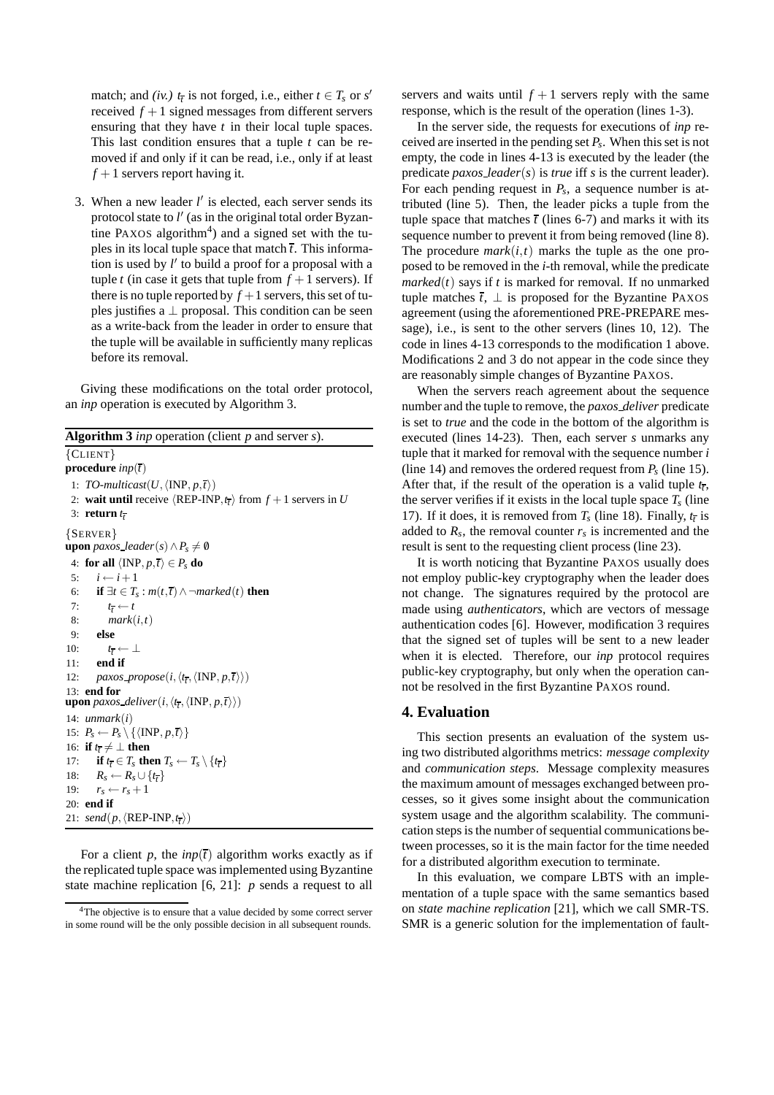match; and *(iv.)*  $t_{\bar{t}}$  is not forged, i.e., either  $t \in T_s$  or  $s'$ received  $f + 1$  signed messages from different servers ensuring that they have *t* in their local tuple spaces. This last condition ensures that a tuple *t* can be removed if and only if it can be read, i.e., only if at least  $f + 1$  servers report having it.

3. When a new leader *l* ′ is elected, each server sends its protocol state to *l'* (as in the original total order Byzantine PAXOS algorithm<sup>4</sup>) and a signed set with the tuples in its local tuple space that match  $\overline{t}$ . This information is used by *l* ′ to build a proof for a proposal with a tuple *t* (in case it gets that tuple from  $f + 1$  servers). If there is no tuple reported by  $f + 1$  servers, this set of tuples justifies a  $\perp$  proposal. This condition can be seen as a write-back from the leader in order to ensure that the tuple will be available in sufficiently many replicas before its removal.

Giving these modifications on the total order protocol, an *inp* operation is executed by Algorithm 3.

**Algorithm 3** *inp* operation (client *p* and server *s*).

```
{CLIENT}
procedure inp(t)
  1: TO-multicast(U, \langleINP, p, \overline{t} \rangle)
  2: wait until receive \langle \text{REP-INP}, t_{\bar{t}} \rangle from f + 1 servers in U
  3: return t
t
{SERVER}
upon paxos leader(s) \land P<sub>s</sub> \neq 0
  4: for all \langle \text{INP}, p, \overline{t} \rangle \in P_s do
 5: i \leftarrow i+16: if ∃t ∈ T<sub>s</sub> : m(t, \overline{t}) ∧ ¬marked(t) then
  7: t
               t_t \leftarrow t8: mark(i,t)
  9: else
10: t
               t_{\overline{t}} \leftarrow \perp11: end if
12: paxos\_propose(i, \langle t_i, \langle \text{INP}, p, t \rangle)13: end for
upon paxos_deliver(i, \langle t_{\overline{t}}, \langle \text{INP}, p, \overline{t} \rangle \rangle)
14: unmark(i)
15: P_s \leftarrow P_s \setminus \{ \langle \text{INP}, p, \overline{t} \rangle \}16: if t_{\bar{t}} \neq \bot then
17: if t_{\bar{t}} \in T_s then T_s \leftarrow T_s \setminus \{t_{\bar{t}}\}18: R_s \leftarrow R_s \cup \{t_{\overline{t}}\}19: r_s \leftarrow r_s + 120: end if
21: send(p, \langle \text{REP-INP}, t_t \rangle)
```
For a client *p*, the  $inp(\bar{t})$  algorithm works exactly as if the replicated tuple space was implemented using Byzantine state machine replication [6, 21]: *p* sends a request to all servers and waits until  $f + 1$  servers reply with the same response, which is the result of the operation (lines 1-3).

In the server side, the requests for executions of *inp* received are inserted in the pending set *P<sup>s</sup>* . When this set is not empty, the code in lines 4-13 is executed by the leader (the predicate *paxos leader*(*s*) is *true* iff *s* is the current leader). For each pending request in *P<sup>s</sup>* , a sequence number is attributed (line 5). Then, the leader picks a tuple from the tuple space that matches  $\bar{t}$  (lines 6-7) and marks it with its sequence number to prevent it from being removed (line 8). The procedure  $mark(i, t)$  marks the tuple as the one proposed to be removed in the *i*-th removal, while the predicate  $marked(t)$  says if  $t$  is marked for removal. If no unmarked tuple matches  $\bar{t}$ ,  $\perp$  is proposed for the Byzantine PAXOS agreement (using the aforementioned PRE-PREPARE message), i.e., is sent to the other servers (lines 10, 12). The code in lines 4-13 corresponds to the modification 1 above. Modifications 2 and 3 do not appear in the code since they are reasonably simple changes of Byzantine PAXOS.

When the servers reach agreement about the sequence number and the tuple to remove, the *paxos deliver* predicate is set to *true* and the code in the bottom of the algorithm is executed (lines 14-23). Then, each server *s* unmarks any tuple that it marked for removal with the sequence number *i* (line 14) and removes the ordered request from  $P_s$  (line 15). After that, if the result of the operation is a valid tuple  $t_{\bar{t}}$ , the server verifies if it exists in the local tuple space  $T_s$  (line 17). If it does, it is removed from  $T_s$  (line 18). Finally,  $t_{\bar{t}}$  is added to  $R_s$ , the removal counter  $r_s$  is incremented and the result is sent to the requesting client process (line 23).

It is worth noticing that Byzantine PAXOS usually does not employ public-key cryptography when the leader does not change. The signatures required by the protocol are made using *authenticators*, which are vectors of message authentication codes [6]. However, modification 3 requires that the signed set of tuples will be sent to a new leader when it is elected. Therefore, our *inp* protocol requires public-key cryptography, but only when the operation cannot be resolved in the first Byzantine PAXOS round.

# **4. Evaluation**

This section presents an evaluation of the system using two distributed algorithms metrics: *message complexity* and *communication steps*. Message complexity measures the maximum amount of messages exchanged between processes, so it gives some insight about the communication system usage and the algorithm scalability. The communication steps is the number of sequential communications between processes, so it is the main factor for the time needed for a distributed algorithm execution to terminate.

In this evaluation, we compare LBTS with an implementation of a tuple space with the same semantics based on *state machine replication* [21], which we call SMR-TS. SMR is a generic solution for the implementation of fault-

<sup>&</sup>lt;sup>4</sup>The objective is to ensure that a value decided by some correct server in some round will be the only possible decision in all subsequent rounds.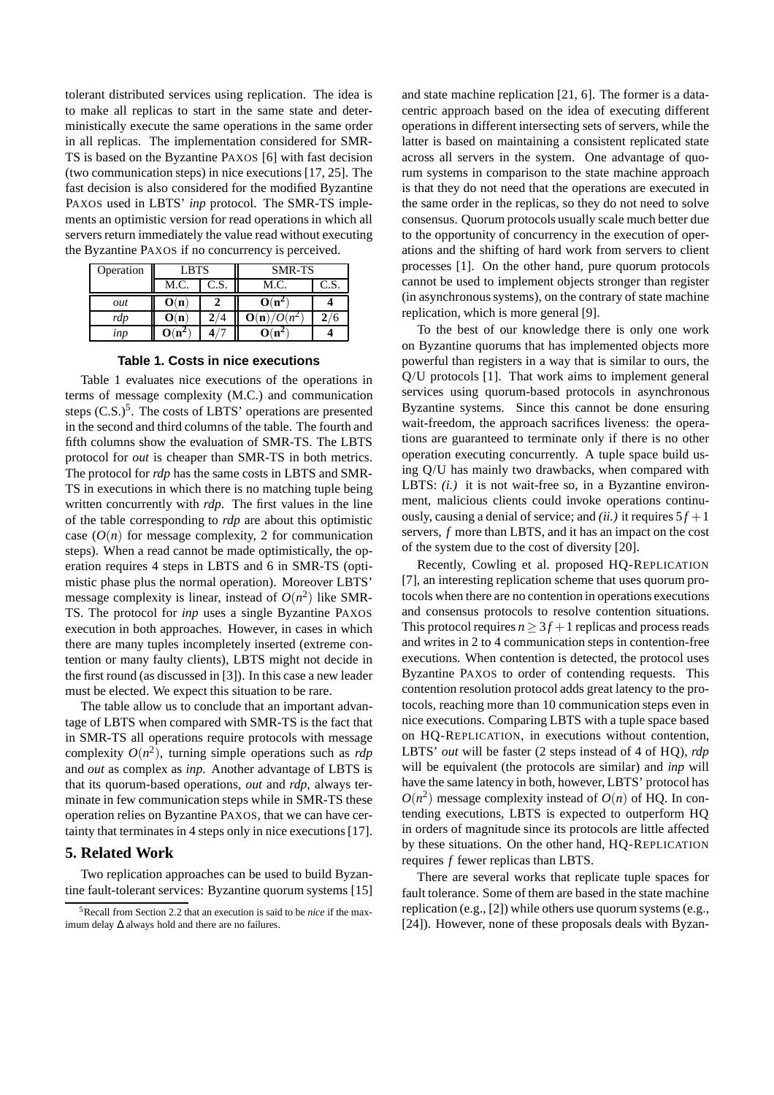tolerant distributed services using replication. The idea is to make all replicas to start in the same state and deterministically execute the same operations in the same order in all replicas. The implementation considered for SMR-TS is based on the Byzantine PAXOS [6] with fast decision (two communication steps) in nice executions [17, 25]. The fast decision is also considered for the modified Byzantine PAXOS used in LBTS' *inp* protocol. The SMR-TS implements an optimistic version for read operations in which all servers return immediately the value read without executing the Byzantine PAXOS if no concurrency is perceived.

| Operation | <b>LBTS</b> |      | <b>SMR-TS</b>      |      |
|-----------|-------------|------|--------------------|------|
|           | M.C.        | C.S. | M.C.               | C.S. |
| out       | O(n)        |      | O(n)               |      |
| rdp       | O(n)        |      | $1/O(n^2)$<br>O(n) |      |
| inp       |             |      |                    |      |

|  | Table 1. Costs in nice executions |
|--|-----------------------------------|
|  |                                   |

Table 1 evaluates nice executions of the operations in terms of message complexity (M.C.) and communication steps  $(C.S.)^5$ . The costs of LBTS' operations are presented in the second and third columns of the table. The fourth and fifth columns show the evaluation of SMR-TS. The LBTS protocol for *out* is cheaper than SMR-TS in both metrics. The protocol for *rdp* has the same costs in LBTS and SMR-TS in executions in which there is no matching tuple being written concurrently with *rdp*. The first values in the line of the table corresponding to *rdp* are about this optimistic case  $(O(n))$  for message complexity, 2 for communication steps). When a read cannot be made optimistically, the operation requires 4 steps in LBTS and 6 in SMR-TS (optimistic phase plus the normal operation). Moreover LBTS' message complexity is linear, instead of  $O(n^2)$  like SMR-TS. The protocol for *inp* uses a single Byzantine PAXOS execution in both approaches. However, in cases in which there are many tuples incompletely inserted (extreme contention or many faulty clients), LBTS might not decide in the first round (as discussed in [3]). In this case a new leader must be elected. We expect this situation to be rare.

The table allow us to conclude that an important advantage of LBTS when compared with SMR-TS is the fact that in SMR-TS all operations require protocols with message complexity  $O(n^2)$ , turning simple operations such as *rdp* and *out* as complex as *inp*. Another advantage of LBTS is that its quorum-based operations, *out* and *rdp*, always terminate in few communication steps while in SMR-TS these operation relies on Byzantine PAXOS, that we can have certainty that terminates in 4 steps only in nice executions [17].

# **5. Related Work**

Two replication approaches can be used to build Byzantine fault-tolerant services: Byzantine quorum systems [15] and state machine replication [21, 6]. The former is a datacentric approach based on the idea of executing different operations in different intersecting sets of servers, while the latter is based on maintaining a consistent replicated state across all servers in the system. One advantage of quorum systems in comparison to the state machine approach is that they do not need that the operations are executed in the same order in the replicas, so they do not need to solve consensus. Quorum protocols usually scale much better due to the opportunity of concurrency in the execution of operations and the shifting of hard work from servers to client processes [1]. On the other hand, pure quorum protocols cannot be used to implement objects stronger than register (in asynchronous systems), on the contrary of state machine replication, which is more general [9].

To the best of our knowledge there is only one work on Byzantine quorums that has implemented objects more powerful than registers in a way that is similar to ours, the Q/U protocols [1]. That work aims to implement general services using quorum-based protocols in asynchronous Byzantine systems. Since this cannot be done ensuring wait-freedom, the approach sacrifices liveness: the operations are guaranteed to terminate only if there is no other operation executing concurrently. A tuple space build using Q/U has mainly two drawbacks, when compared with LBTS: *(i.)* it is not wait-free so, in a Byzantine environment, malicious clients could invoke operations continuously, causing a denial of service; and *(ii.)* it requires  $5f + 1$ servers, *f* more than LBTS, and it has an impact on the cost of the system due to the cost of diversity [20].

Recently, Cowling et al. proposed HQ-REPLICATION [7], an interesting replication scheme that uses quorum protocols when there are no contention in operations executions and consensus protocols to resolve contention situations. This protocol requires  $n \geq 3f + 1$  replicas and process reads and writes in 2 to 4 communication steps in contention-free executions. When contention is detected, the protocol uses Byzantine PAXOS to order of contending requests. This contention resolution protocol adds great latency to the protocols, reaching more than 10 communication steps even in nice executions. Comparing LBTS with a tuple space based on HQ-REPLICATION, in executions without contention, LBTS' *out* will be faster (2 steps instead of 4 of HQ), *rdp* will be equivalent (the protocols are similar) and *inp* will have the same latency in both, however, LBTS' protocol has  $O(n^2)$  message complexity instead of  $O(n)$  of HQ. In contending executions, LBTS is expected to outperform HQ in orders of magnitude since its protocols are little affected by these situations. On the other hand, HQ-REPLICATION requires *f* fewer replicas than LBTS.

There are several works that replicate tuple spaces for fault tolerance. Some of them are based in the state machine replication (e.g., [2]) while others use quorum systems (e.g., [24]). However, none of these proposals deals with Byzan-

<sup>5</sup>Recall from Section 2.2 that an execution is said to be *nice* if the maximum delay ∆ always hold and there are no failures.